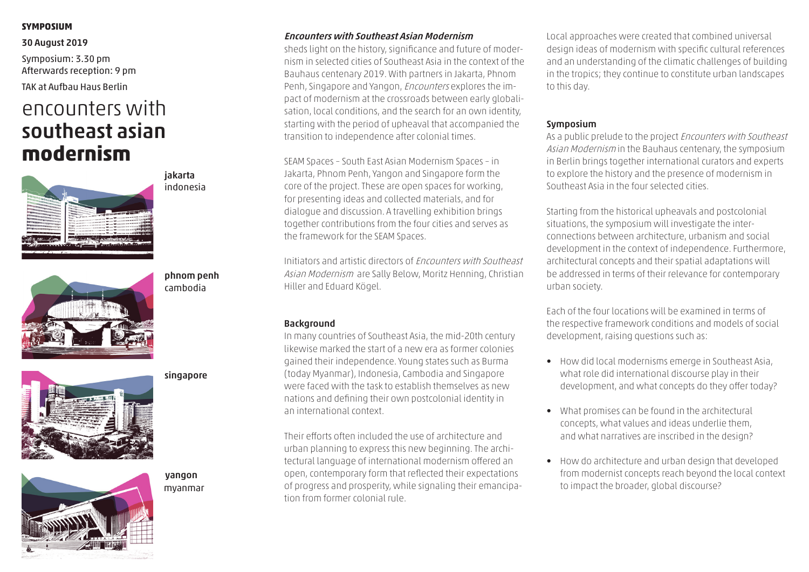#### **symposium**

#### 30 August 2019

Symposium: 3.30 pm Afterwards reception: 9 pm

TAK at Aufbau Haus Berlin

# encounters with southeast asian **modernism**



jakarta indonesia



phnom penh cambodia





singapore

myanmar yangon

### Encounters with Southeast Asian Modernism

sheds light on the history, significance and future of modernism in selected cities of Southeast Asia in the context of the Bauhaus centenary 2019. With partners in Jakarta, Phnom Penh, Singapore and Yangon, Encounters explores the impact of modernism at the crossroads between early globalisation, local conditions, and the search for an own identity, starting with the period of upheaval that accompanied the transition to independence after colonial times.

SEAM Spaces – South East Asian Modernism Spaces – in Jakarta, Phnom Penh, Yangon and Singapore form the core of the project. These are open spaces for working, for presenting ideas and collected materials, and for dialogue and discussion. A travelling exhibition brings together contributions from the four cities and serves as the framework for the SEAM Spaces.

Initiators and artistic directors of Encounters with Southeast Asian Modernism are Sally Below, Moritz Henning, Christian Hiller and Eduard Kögel.

### Background

In many countries of Southeast Asia, the mid-20th century likewise marked the start of a new era as former colonies gained their independence. Young states such as Burma (today Myanmar), Indonesia, Cambodia and Singapore were faced with the task to establish themselves as new nations and defining their own postcolonial identity in an international context.

Their efforts often included the use of architecture and urban planning to express this new beginning. The architectural language of international modernism offered an open, contemporary form that reflected their expectations of progress and prosperity, while signaling their emancipation from former colonial rule.

Local approaches were created that combined universal design ideas of modernism with specific cultural references and an understanding of the climatic challenges of building in the tropics; they continue to constitute urban landscapes to this day.

#### Symposium

As a public prelude to the project Encounters with Southeast Asian Modernism in the Bauhaus centenary, the symposium in Berlin brings together international curators and experts to explore the history and the presence of modernism in Southeast Asia in the four selected cities.

Starting from the historical upheavals and postcolonial situations, the symposium will investigate the interconnections between architecture, urbanism and social development in the context of independence. Furthermore, architectural concepts and their spatial adaptations will be addressed in terms of their relevance for contemporary urban society.

Each of the four locations will be examined in terms of the respective framework conditions and models of social development, raising questions such as:

- How did local modernisms emerge in Southeast Asia, what role did international discourse play in their development, and what concepts do they offer today?
- What promises can be found in the architectural concepts, what values and ideas underlie them, and what narratives are inscribed in the design?
- How do architecture and urban design that developed from modernist concepts reach beyond the local context to impact the broader, global discourse?